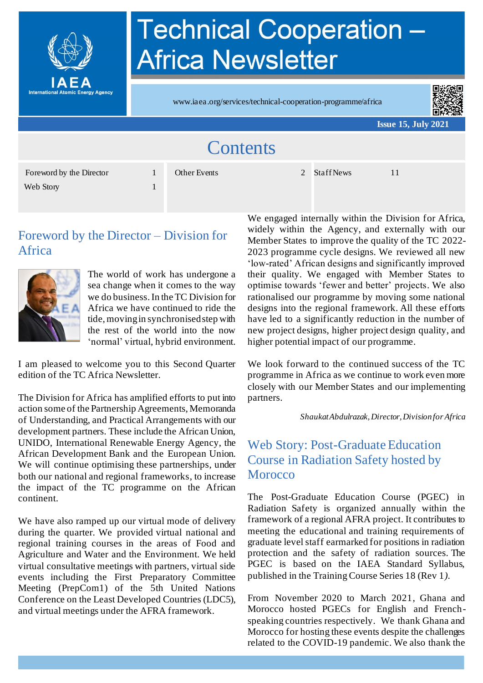

# **Technical Cooperation -Africa Newsletter**

www.iaea.org/services/technical-cooperation-programme/africa



**Issue 15, July 2021**

| <b>Contents</b>                       |  |              |  |              |  |
|---------------------------------------|--|--------------|--|--------------|--|
| Foreword by the Director<br>Web Story |  | Other Events |  | 2 Staff News |  |

#### Foreword by the Director – Division for Africa



The world of work has undergone a sea change when it comes to the way we do business.In the TC Division for Africa we have continued to ride the tide, moving in synchronised step with the rest of the world into the now 'normal' virtual, hybrid environment.

I am pleased to welcome you to this Second Quarter edition of the TC Africa Newsletter.

The Division for Africa has amplified efforts to put into action some of the Partnership Agreements, Memoranda of Understanding, and Practical Arrangements with our development partners. These include the African Union, UNIDO, International Renewable Energy Agency, the African Development Bank and the European Union. We will continue optimising these partnerships, under both our national and regional frameworks, to increase the impact of the TC programme on the African continent.

We have also ramped up our virtual mode of delivery during the quarter. We provided virtual national and regional training courses in the areas of Food and Agriculture and Water and the Environment. We held virtual consultative meetings with partners, virtual side events including the First Preparatory Committee Meeting (PrepCom1) of the 5th United Nations Conference on the Least Developed Countries (LDC5), and virtual meetings under the AFRA framework.

We engaged internally within the Division for Africa, widely within the Agency, and externally with our Member States to improve the quality of the TC 2022- 2023 programme cycle designs. We reviewed all new 'low-rated' African designs and significantly improved their quality. We engaged with Member States to optimise towards 'fewer and better' projects. We also rationalised our programme by moving some national designs into the regional framework. All these efforts have led to a significantly reduction in the number of new project designs, higher project design quality, and higher potential impact of our programme.

We look forward to the continued success of the TC programme in Africa as we continue to work even more closely with our Member States and our implementing partners.

*Shaukat Abdulrazak, Director,Division for Africa*

#### Web Story: Post-Graduate Education Course in Radiation Safety hosted by **Morocco**

The Post-Graduate Education Course (PGEC) in Radiation Safety is organized annually within the framework of a regional AFRA project. It contributes to meeting the educational and training requirements of graduate level staff earmarked for positions in radiation protection and the safety of radiation sources. The PGEC is based on the IAEA Standard Syllabus, published in the Training Course Series 18 (Rev 1*)*.

From November 2020 to March 2021, Ghana and Morocco hosted PGECs for English and Frenchspeaking countries respectively. We thank Ghana and Morocco for hosting these events despite the challenges related to the COVID-19 pandemic. We also thank the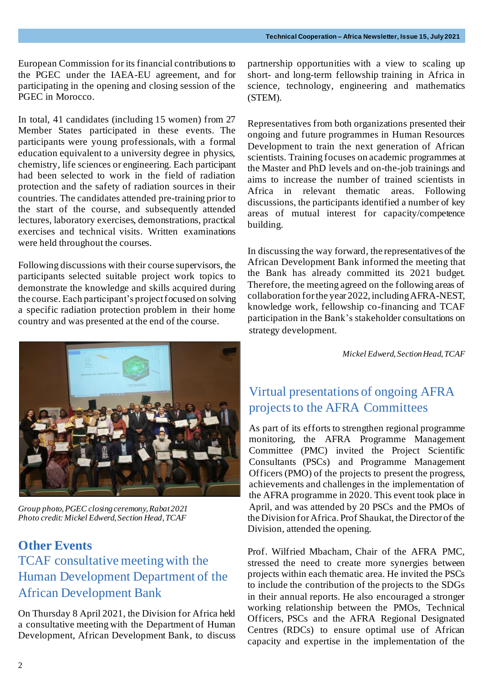European Commission for its financial contributions to the PGEC under the IAEA-EU agreement, and for participating in the opening and closing session of the PGEC in Morocco.

In total, 41 candidates (including 15 women) from 27 Member States participated in these events. The participants were young professionals, with a formal education equivalent to a university degree in physics, chemistry, life sciences or engineering. Each participant had been selected to work in the field of radiation protection and the safety of radiation sources in their countries. The candidates attended pre-training prior to the start of the course, and subsequently attended lectures, laboratory exercises, demonstrations, practical exercises and technical visits. Written examinations were held throughout the courses.

Following discussions with their course supervisors, the participants selected suitable project work topics to demonstrate the knowledge and skills acquired during the course. Each participant's project focused on solving a specific radiation protection problem in their home country and was presented at the end of the course.



*Group photo,PGEC closing ceremony, Rabat 2021 Photo credit: Mickel Edwerd, Section Head, TCAF*

#### **Other Events**

# TCAF consultative meeting with the Human Development Department of the African Development Bank

On Thursday 8 April 2021, the Division for Africa held a consultative meeting with the Department of Human Development, African Development Bank, to discuss partnership opportunities with a view to scaling up short- and long-term fellowship training in Africa in science, technology, engineering and mathematics (STEM).

Representatives from both organizations presented their ongoing and future programmes in Human Resources Development to train the next generation of African scientists. Training focuses on academic programmes at the Master and PhD levels and on-the-job trainings and aims to increase the number of trained scientists in Africa in relevant thematic areas. Following discussions, the participants identified a number of key areas of mutual interest for capacity/competence building.

In discussing the way forward, the representatives of the African Development Bank informed the meeting that the Bank has already committed its 2021 budget. Therefore, the meeting agreed on the following areas of collaboration for the year 2022, includingAFRA-NEST, knowledge work, fellowship co-financing and TCAF participation in the Bank's stakeholder consultations on strategy development.

*Mickel Edwerd, Section Head, TCAF*

# Virtual presentations of ongoing AFRA projects to the AFRA Committees

As part of its efforts to strengthen regional programme monitoring, the AFRA Programme Management Committee (PMC) invited the Project Scientific Consultants (PSCs) and Programme Management Officers (PMO) of the projects to present the progress, achievements and challenges in the implementation of the AFRA programme in 2020. This event took place in April, and was attended by 20 PSCs and the PMOs of the Division for Africa. Prof Shaukat, the Director of the Division, attended the opening.

Prof. Wilfried Mbacham, Chair of the AFRA PMC, stressed the need to create more synergies between projects within each thematic area. He invited the PSCs to include the contribution of the projects to the SDGs in their annual reports. He also encouraged a stronger working relationship between the PMOs, Technical Officers, PSCs and the AFRA Regional Designated Centres (RDCs) to ensure optimal use of African capacity and expertise in the implementation of the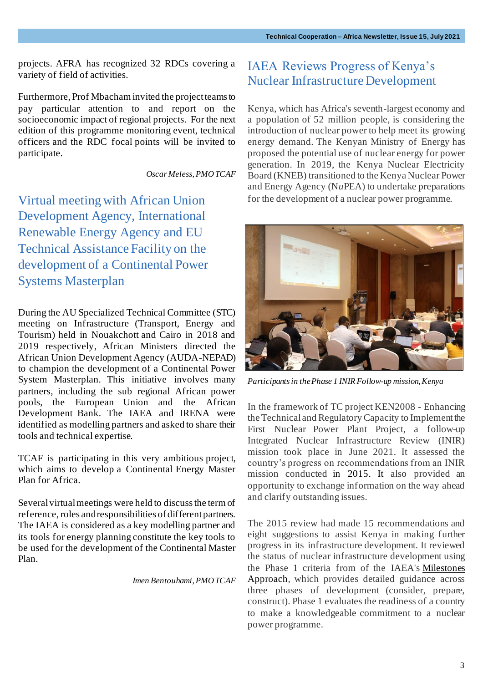projects. AFRA has recognized 32 RDCs covering a variety of field of activities.

Furthermore, Prof Mbacham invited the project teams to pay particular attention to and report on the socioeconomic impact of regional projects. For the next edition of this programme monitoring event, technical officers and the RDC focal points will be invited to participate.

*Oscar Meless, PMO TCAF*

Virtual meeting with African Union Development Agency, International Renewable Energy Agency and EU Technical Assistance Facility on the development of a Continental Power Systems Masterplan

During the AU Specialized Technical Committee (STC) meeting on Infrastructure (Transport, Energy and Tourism) held in Nouakchott and Cairo in 2018 and 2019 respectively, African Ministers directed the African Union Development Agency (AUDA-NEPAD) to champion the development of a Continental Power System Masterplan. This initiative involves many partners, including the sub regional African power pools, the European Union and the African Development Bank. The IAEA and IRENA were identified as modelling partners and asked to share their tools and technical expertise.

TCAF is participating in this very ambitious project, which aims to develop a Continental Energy Master Plan for Africa.

Several virtual meetings were held to discuss the term of reference, roles and responsibilities of different partners. The IAEA is considered as a key modelling partner and its tools for energy planning constitute the key tools to be used for the development of the Continental Master Plan.

*Imen Bentouhami, PMO TCAF*

#### IAEA Reviews Progress of Kenya's Nuclear Infrastructure Development

Kenya, which has Africa's seventh-largest economy and a population of 52 million people, is considering the introduction of nuclear power to help meet its growing energy demand. The Kenyan Ministry of Energy has proposed the potential use of nuclear energy for power generation. In 2019, the Kenya Nuclear Electricity Board (KNEB) transitioned to the Kenya Nuclear Power and Energy Agency (N*u*PEA) to undertake preparations for the development of a nuclear power programme.



*Participants in the Phase 1 INIR Follow-up mission, Kenya*

In the framework of TC project KEN2008 - Enhancing the Technical and Regulatory Capacity to Implement the First Nuclear Power Plant Project, a follow-up Integrated Nuclear Infrastructure Review (INIR) mission took place in June 2021. It assessed the country's progress on recommendations from an INIR mission conducted in 2015. It also provided an opportunity to exchange information on the way ahead and clarify outstanding issues.

The 2015 review had made 15 recommendations and eight suggestions to assist Kenya in making further progress in its infrastructure development. It reviewed the status of nuclear infrastructure development using the Phase 1 criteria from of the IAEA's Milestones Approach, which provides detailed guidance across three phases of development (consider, prepare, construct). Phase 1 evaluates the readiness of a country to make a knowledgeable commitment to a nuclear power programme.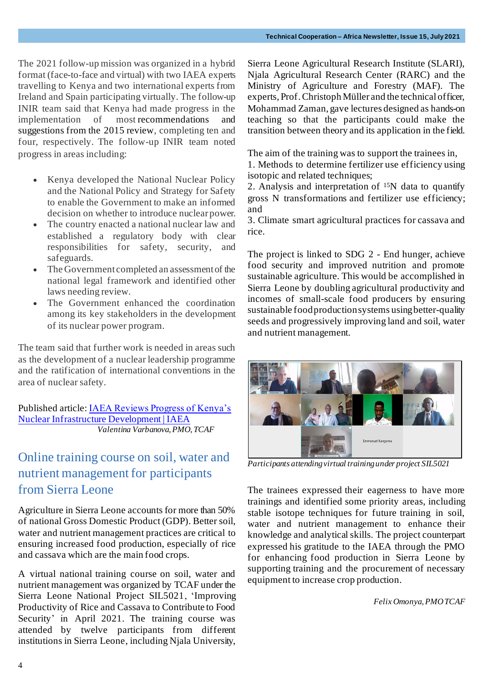The 2021 follow-up mission was organized in a hybrid format (face-to-face and virtual) with two IAEA experts travelling to Kenya and two international experts from Ireland and Spain participating virtually. The follow-up INIR team said that Kenya had made progress in the implementation of most recommendations and suggestions from the 2015 review, completing ten and four, respectively. The follow-up INIR team noted progress in areas including:

- Kenya developed the National Nuclear Policy and the National Policy and Strategy for Safety to enable the Government to make an informed decision on whether to introduce nuclear power.
- The country enacted a national nuclear law and established a regulatory body with clear responsibilities for safety, security, and safeguards.
- The Government completed an assessment of the national legal framework and identified other laws needing review.
- The Government enhanced the coordination among its key stakeholders in the development of its nuclear power program.

The team said that further work is needed in areas such as the development of a nuclear leadership programme and the ratification of international conventions in the area of nuclear safety.

Published article[: IAEA Reviews Progress of Kenya's](https://www.iaea.org/newscenter/pressreleases/iaea-reviews-progress-of-kenyas-nuclear-infrastructure-development)  [Nuclear Infrastructure Development | IAEA](https://www.iaea.org/newscenter/pressreleases/iaea-reviews-progress-of-kenyas-nuclear-infrastructure-development)  *Valentina Varbanova, PMO, TCAF*

## Online training course on soil, water and nutrient management for participants from Sierra Leone

Agriculture in Sierra Leone accounts for more than 50% of national Gross Domestic Product (GDP). Better soil, water and nutrient management practices are critical to ensuring increased food production, especially of rice and cassava which are the main food crops.

A virtual national training course on soil, water and nutrient management was organized by TCAF under the Sierra Leone National Project SIL5021, 'Improving Productivity of Rice and Cassava to Contribute to Food Security' in April 2021. The training course was attended by twelve participants from different institutions in Sierra Leone, including Njala University,

Sierra Leone Agricultural Research Institute (SLARI), Njala Agricultural Research Center (RARC) and the Ministry of Agriculture and Forestry (MAF). The experts, Prof. Christoph Müller and the technical officer, Mohammad Zaman, gave lectures designed as hands-on teaching so that the participants could make the transition between theory and its application in the field.

The aim of the training was to support the trainees in,

1. Methods to determine fertilizer use efficiency using isotopic and related techniques;

2. Analysis and interpretation of  $15N$  data to quantify gross N transformations and fertilizer use efficiency; and

3. Climate smart agricultural practices for cassava and rice.

The project is linked to SDG 2 - End hunger, achieve food security and improved nutrition and promote sustainable agriculture. This would be accomplished in Sierra Leone by doubling agricultural productivity and incomes of small-scale food producers by ensuring sustainable food production systems usingbetter-quality seeds and progressively improving land and soil, water and nutrient management.



*Participants attending virtual training under project SIL5021* 

The trainees expressed their eagerness to have more trainings and identified some priority areas, including stable isotope techniques for future training in soil, water and nutrient management to enhance their knowledge and analytical skills. The project counterpart expressed his gratitude to the IAEA through the PMO for enhancing food production in Sierra Leone by supporting training and the procurement of necessary equipment to increase crop production.

*Felix Omonya, PMO TCAF*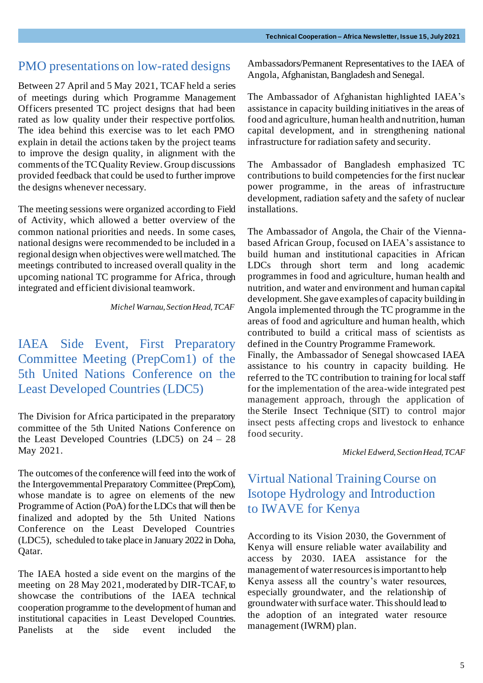#### PMO presentations on low-rated designs

Between 27 April and 5 May 2021, TCAF held a series of meetings during which Programme Management Officers presented TC project designs that had been rated as low quality under their respective portfolios. The idea behind this exercise was to let each PMO explain in detail the actions taken by the project teams to improve the design quality, in alignment with the comments of the TC Quality Review. Group discussions provided feedback that could be used to further improve the designs whenever necessary.

The meeting sessions were organized according to Field of Activity, which allowed a better overview of the common national priorities and needs. In some cases, national designs were recommended to be included in a regional design when objectives were well matched. The meetings contributed to increased overall quality in the upcoming national TC programme for Africa, through integrated and efficient divisional teamwork.

*Michel Warnau, Section Head, TCAF*

IAEA Side Event, First Preparatory Committee Meeting (PrepCom1) of the [5th United Nations Conference on the](https://www.un.org/ldc5/)  [Least Developed Countries \(LDC5\)](https://www.un.org/ldc5/)

The Division for Africa participated in the preparatory committee of the 5th United Nations Conference on the Least Developed Countries (LDC5) on 24 – 28 May 2021.

The outcomes of the conference will feed into the work of the Intergovernmental Preparatory Committee (PrepCom), whose mandate is to agree on elements of the new Programme of Action (PoA) for the LDCs that will then be finalized and adopted by the 5th United Nations Conference on the Least Developed Countries (LDC5), scheduled to take place in January 2022 in Doha, Qatar.

The IAEA hosted a side event on the margins of the meeting on 28 May 2021, moderated by DIR-TCAF, to showcase the contributions of the IAEA technical cooperation programme to the development of human and institutional capacities in Least Developed Countries. Panelists at the side event included the

Ambassadors/Permanent Representatives to the IAEA of Angola, Afghanistan, Bangladesh and Senegal.

The Ambassador of Afghanistan highlighted IAEA's assistance in capacity building initiatives in the areas of food and agriculture, human health and nutrition, human capital development, and in strengthening national infrastructure for radiation safety and security.

The Ambassador of Bangladesh emphasized TC contributions to build competencies for the first nuclear power programme, in the areas of infrastructure development, radiation safety and the safety of nuclear installations.

The Ambassador of Angola, the Chair of the Viennabased African Group, focused on IAEA's assistance to build human and institutional capacities in African LDCs through short term and long academic programmes in food and agriculture, human health and nutrition, and water and environment and human capital development. She gave examples of capacity building in Angola implemented through the TC programme in the areas of food and agriculture and human health, which contributed to build a critical mass of scientists as defined in the Country Programme Framework. Finally, the Ambassador of Senegal showcased IAEA

assistance to his country in capacity building. He referred to the TC contribution to training for local staff for the implementation of the area-wide integrated pest management approach, through the application of the Sterile Insect Technique (SIT) to control major insect pests affecting crops and livestock to enhance food security.

*Mickel Edwerd, Section Head, TCAF*

#### Virtual National Training Course on Isotope Hydrology and Introduction to IWAVE for Kenya

According to its Vision 2030, the Government of Kenya will ensure reliable water availability and access by 2030. IAEA assistance for the management of water resources is important to help Kenya assess all the country's water resources, especially groundwater, and the relationship of groundwater with surface water. This should lead to the adoption of an integrated water resource management (IWRM) plan.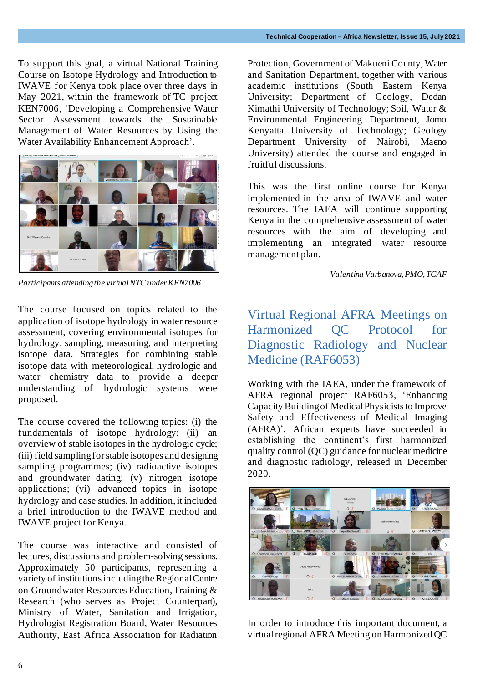To support this goal, a virtual National Training Course on Isotope Hydrology and Introduction to IWAVE for Kenya took place over three days in May 2021, within the framework of TC project KEN7006, 'Developing a Comprehensive Water Sector Assessment towards the Sustainable Management of Water Resources by Using the Water Availability Enhancement Approach'.



*Participants attending the virtual NTC under KEN7006*

The course focused on topics related to the application of isotope hydrology in water resource assessment, covering environmental isotopes for hydrology, sampling, measuring, and interpreting isotope data. Strategies for combining stable isotope data with meteorological, hydrologic and water chemistry data to provide a deeper understanding of hydrologic systems were proposed.

The course covered the following topics: (i) the fundamentals of isotope hydrology; (ii) an overview of stable isotopes in the hydrologic cycle; (iii) field sampling for stable isotopes and designing sampling programmes; (iv) radioactive isotopes and groundwater dating; (v) nitrogen isotope applications; (vi) advanced topics in isotope hydrology and case studies. In addition, it included a brief introduction to the IWAVE method and IWAVE project for Kenya.

The course was interactive and consisted of lectures, discussions and problem-solving sessions. Approximately 50 participants, representing a variety of institutions including the Regional Centre on Groundwater Resources Education, Training & Research (who serves as Project Counterpart), Ministry of Water, Sanitation and Irrigation, Hydrologist Registration Board, Water Resources Authority, East Africa Association for Radiation Protection, Government of Makueni County, Water and Sanitation Department, together with various academic institutions (South Eastern Kenya University; Department of Geology, Dedan Kimathi University of Technology; Soil, Water & Environmental Engineering Department, Jomo Kenyatta University of Technology; Geology Department University of Nairobi, Maeno University) attended the course and engaged in fruitful discussions.

This was the first online course for Kenya implemented in the area of IWAVE and water resources. The IAEA will continue supporting Kenya in the comprehensive assessment of water resources with the aim of developing and implementing an integrated water resource management plan.

 *Valentina Varbanova, PMO, TCAF*

Virtual Regional AFRA Meetings on Harmonized QC Protocol for Diagnostic Radiology and Nuclear Medicine (RAF6053)

Working with the IAEA, under the framework of AFRA regional project RAF6053, 'Enhancing Capacity Building of Medical Physicists to Improve Safety and Effectiveness of Medical Imaging (AFRA)', African experts have succeeded in establishing the continent's first harmonized quality control (QC) guidance for nuclear medicine and diagnostic radiology, released in December 2020.



In order to introduce this important document, a virtual regional AFRA Meeting on Harmonized QC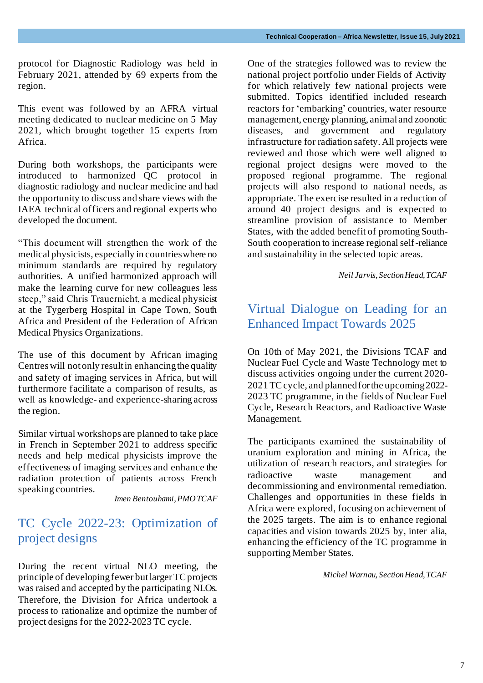protocol for Diagnostic Radiology was held in February 2021, attended by 69 experts from the region.

This event was followed by an AFRA virtual meeting dedicated to nuclear medicine on 5 May 2021, which brought together 15 experts from Africa.

During both workshops, the participants were introduced to harmonized QC protocol in diagnostic radiology and nuclear medicine and had the opportunity to discuss and share views with the IAEA technical officers and regional experts who developed the document.

"This document will strengthen the work of the medical physicists, especially in countries where no minimum standards are required by regulatory authorities. A unified harmonized approach will make the learning curve for new colleagues less steep," said Chris Trauernicht, a medical physicist at the Tygerberg Hospital in Cape Town, South Africa and President of the Federation of African Medical Physics Organizations.

The use of this document by African imaging Centres will not only result in enhancing the quality and safety of imaging services in Africa, but will furthermore facilitate a comparison of results, as well as knowledge- and experience-sharing across the region.

Similar virtual workshops are planned to take place in French in September 2021 to address specific needs and help medical physicists improve the effectiveness of imaging services and enhance the radiation protection of patients across French speaking countries.

*Imen Bentouhami, PMO TCAF*

#### TC Cycle 2022-23: Optimization of project designs

During the recent virtual NLO meeting, the principle of developing fewer but larger TC projects was raised and accepted by the participating NLOs. Therefore, the Division for Africa undertook a process to rationalize and optimize the number of project designs for the 2022-2023 TC cycle.

One of the strategies followed was to review the national project portfolio under Fields of Activity for which relatively few national projects were submitted. Topics identified included research reactors for 'embarking' countries, water resource management, energy planning, animal and zoonotic diseases, and government and regulatory infrastructure for radiation safety. All projects were reviewed and those which were well aligned to regional project designs were moved to the proposed regional programme. The regional projects will also respond to national needs, as appropriate. The exercise resulted in a reduction of around 40 project designs and is expected to streamline provision of assistance to Member States, with the added benefit of promoting South-South cooperation to increase regional self-reliance and sustainability in the selected topic areas.

*Neil Jarvis, Section Head, TCAF*

#### Virtual Dialogue on Leading for an Enhanced Impact Towards 2025

On 10th of May 2021, the Divisions TCAF and Nuclear Fuel Cycle and Waste Technology met to discuss activities ongoing under the current 2020- 2021 TC cycle, and planned for the upcoming 2022- 2023 TC programme, in the fields of Nuclear Fuel Cycle, Research Reactors, and Radioactive Waste Management.

The participants examined the sustainability of uranium exploration and mining in Africa, the utilization of research reactors, and strategies for radioactive waste management and decommissioning and environmental remediation. Challenges and opportunities in these fields in Africa were explored, focusing on achievement of the 2025 targets. The aim is to enhance regional capacities and vision towards 2025 by, inter alia, enhancing the efficiency of the TC programme in supporting Member States.

*Michel Warnau, Section Head, TCAF*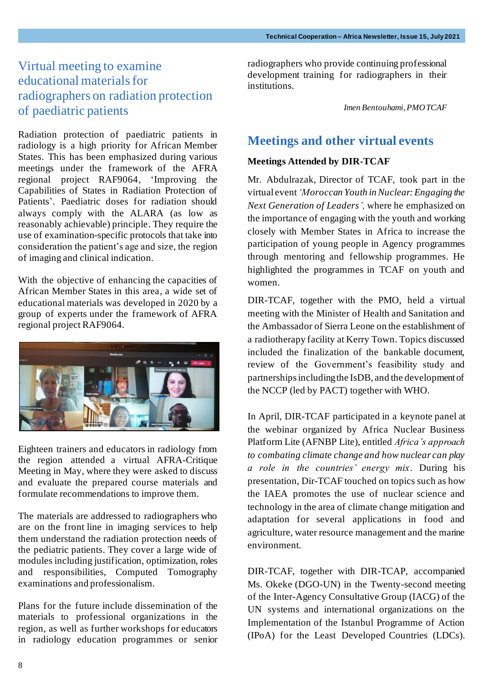## Virtual meeting to examine educational materials for radiographers on radiation protection of paediatric patients

Radiation protection of paediatric patients in radiology is a high priority for African Member States. This has been emphasized during various meetings under the framework of the AFRA regional project RAF9064, 'Improving the Capabilities of States in Radiation Protection of Patients'. Paediatric doses for radiation should always comply with the ALARA (as low as reasonably achievable) principle. They require the use of examination-specific protocols that take into consideration the patient's age and size, the region of imaging and clinical indication.

With the objective of enhancing the capacities of African Member States in this area, a wide set of educational materials was developed in 2020 by a group of experts under the framework of AFRA regional project RAF9064.



Eighteen trainers and educators in radiology from the region attended a virtual AFRA-Critique Meeting in May, where they were asked to discuss and evaluate the prepared course materials and formulate recommendations to improve them.

The materials are addressed to radiographers who are on the front line in imaging services to help them understand the radiation protection needs of the pediatric patients. They cover a large wide of modules including justification, optimization, roles and responsibilities, Computed Tomography examinations and professionalism.

Plans for the future include dissemination of the materials to professional organizations in the region, as well as further workshops for educators in radiology education programmes or senior radiographers who provide continuing professional development training for radiographers in their institutions.

*Imen Bentouhami, PMO TCAF*

#### **Meetings and other virtual events**

#### **Meetings Attended by DIR-TCAF**

Mr. Abdulrazak, Director of TCAF, took part in the virtual event*'Moroccan Youth in Nuclear: Engaging the Next Generation of Leaders',* where he emphasized on the importance of engaging with the youth and working closely with Member States in Africa to increase the participation of young people in Agency programmes through mentoring and fellowship programmes. He highlighted the programmes in TCAF on youth and women.

DIR-TCAF, together with the PMO, held a virtual meeting with the Minister of Health and Sanitation and the Ambassador of Sierra Leone on the establishment of a radiotherapy facility at Kerry Town. Topics discussed included the finalization of the bankable document, review of the Government's feasibility study and partnerships including the IsDB, and the development of the NCCP (led by PACT) together with WHO.

In April, DIR-TCAF participated in a keynote panel at the webinar organized by Africa Nuclear Business Platform Lite (AFNBP Lite), entitled *Africa's approach to combating climate change and how nuclear can play a role in the countries' energy mix*. During his presentation, Dir-TCAF touched on topics such as how the IAEA promotes the use of nuclear science and technology in the area of climate change mitigation and adaptation for several applications in food and agriculture, water resource management and the marine environment.

DIR-TCAF, together with DIR-TCAP, accompanied Ms. Okeke (DGO-UN) in the Twenty-second meeting of the Inter-Agency Consultative Group (IACG) of the UN systems and international organizations on the Implementation of the Istanbul Programme of Action (IPoA) for the Least Developed Countries (LDCs).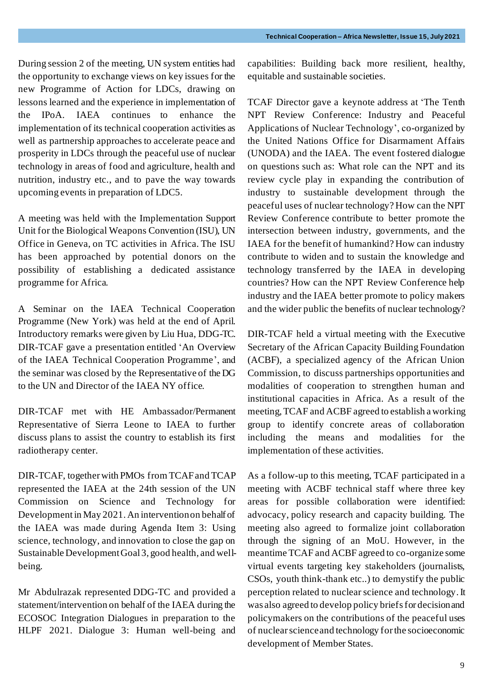During session 2 of the meeting, UN system entities had the opportunity to exchange views on key issues for the new Programme of Action for LDCs, drawing on lessons learned and the experience in implementation of the IPoA. IAEA continues to enhance the implementation of its technical cooperation activities as well as partnership approaches to accelerate peace and prosperity in LDCs through the peaceful use of nuclear technology in areas of food and agriculture, health and nutrition, industry etc., and to pave the way towards upcoming events in preparation of LDC5.

A meeting was held with the Implementation Support Unit for the Biological Weapons Convention (ISU), UN Office in Geneva, on TC activities in Africa. The ISU has been approached by potential donors on the possibility of establishing a dedicated assistance programme for Africa.

A Seminar on the IAEA Technical Cooperation Programme (New York) was held at the end of April. Introductory remarks were given by Liu Hua, DDG-TC. DIR-TCAF gave a presentation entitled 'An Overview of the IAEA Technical Cooperation Programme', and the seminar was closed by the Representative of the DG to the UN and Director of the IAEA NY office.

DIR-TCAF met with HE Ambassador/Permanent Representative of Sierra Leone to IAEA to further discuss plans to assist the country to establish its first radiotherapy center.

DIR-TCAF, together with PMOs from TCAF and TCAP represented the IAEA at the 24th session of the UN Commission on Science and Technology for Developmentin May 2021. An intervention on behalf of the IAEA was made during Agenda Item 3: Using science, technology, and innovation to close the gap on Sustainable Development Goal 3, good health, and wellbeing.

Mr Abdulrazak represented DDG-TC and provided a statement/intervention on behalf of the IAEA during the ECOSOC Integration Dialogues in preparation to the HLPF 2021. Dialogue 3: Human well-being and capabilities: Building back more resilient, healthy, equitable and sustainable societies.

TCAF Director gave a keynote address at 'The Tenth NPT Review Conference: Industry and Peaceful Applications of Nuclear Technology', co-organized by the United Nations Office for Disarmament Affairs (UNODA) and the IAEA. The event fostered dialogue on questions such as: What role can the NPT and its review cycle play in expanding the contribution of industry to sustainable development through the peaceful uses of nuclear technology? How can the NPT Review Conference contribute to better promote the intersection between industry, governments, and the IAEA for the benefit of humankind? How can industry contribute to widen and to sustain the knowledge and technology transferred by the IAEA in developing countries? How can the NPT Review Conference help industry and the IAEA better promote to policy makers and the wider public the benefits of nuclear technology?

DIR-TCAF held a virtual meeting with the Executive Secretary of the African Capacity Building Foundation (ACBF), a specialized agency of the African Union Commission, to discuss partnerships opportunities and modalities of cooperation to strengthen human and institutional capacities in Africa. As a result of the meeting, TCAF and ACBF agreed to establish a working group to identify concrete areas of collaboration including the means and modalities for the implementation of these activities.

As a follow-up to this meeting, TCAF participated in a meeting with ACBF technical staff where three key areas for possible collaboration were identified: advocacy, policy research and capacity building. The meeting also agreed to formalize joint collaboration through the signing of an MoU. However, in the meantime TCAF and ACBF agreed to co-organize some virtual events targeting key stakeholders (journalists, CSOs, youth think-thank etc..) to demystify the public perception related to nuclear science and technology. It was also agreed to develop policy briefs for decision and policymakers on the contributions of the peaceful uses of nuclear science and technology for the socioeconomic development of Member States.